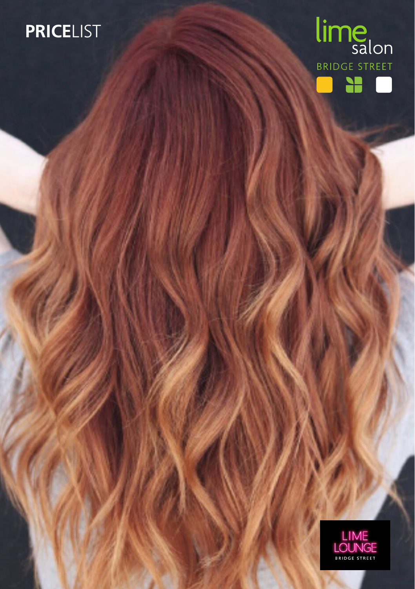# **PRICE**LIST



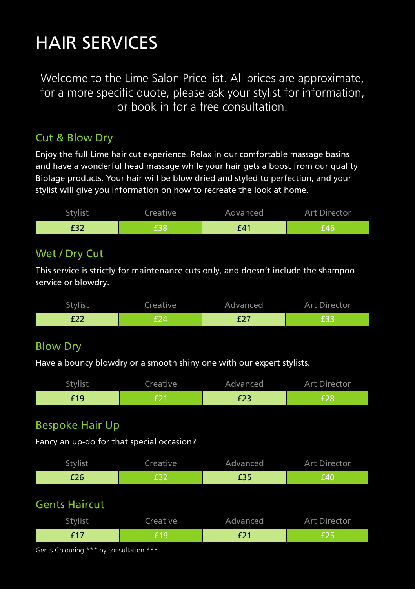# HAIR SERVICES

Welcome to the Lime Salon Price list. All prices are approximate, for a more specific quote, please ask your stylist for information, or book in for a free consultation.

#### Cut & Blow Dry

Enjoy the full Lime hair cut experience. Relax in our comfortable massage basins and have a wonderful head massage while your hair gets a boost from our quality Biolage products. Your hair will be blow dried and styled to perfection, and your stylist will give you information on how to recreate the look at home.

| <b>Stylist</b> | Creative | Advanced | <b>Art Director</b> |
|----------------|----------|----------|---------------------|
| ⊥J∠            |          | £41      |                     |

### Wet / Dry Cut

This service is strictly for maintenance cuts only, and doesn't include the shampoo service or blowdry.

| Stylist | Creative | Advanced | <b>Art Director</b> |
|---------|----------|----------|---------------------|
| ᅩ᠘      |          | .        |                     |

## Blow Dry

Have a bouncy blowdry or a smooth shiny one with our expert stylists.

| Stylist | Creative | Advanced | Art Director |
|---------|----------|----------|--------------|
| -19     |          | ᄕᄼ       |              |

## Bespoke Hair Up

Fancy an up-do for that special occasion?

| Stylist | Creative | Advanced    | <b>Art Director</b> |
|---------|----------|-------------|---------------------|
| £26     |          | ם כת<br>ככב | £40                 |

#### Gents Haircut

| Stylist   | Creative | Advanced | Art Director |
|-----------|----------|----------|--------------|
| f 17<br>. | f 1 9    | £21      |              |

Gents Colouring \*\*\* by consultation \*\*\*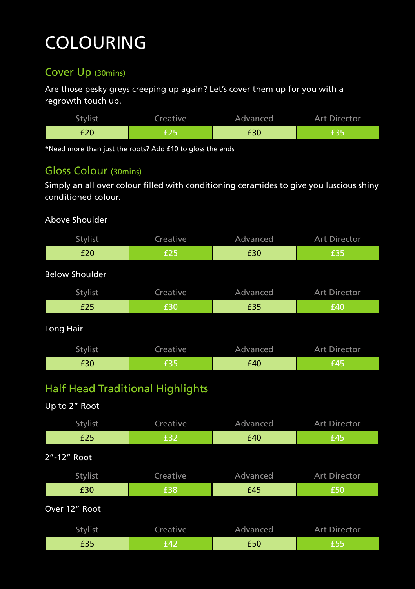# COLOURING

### Cover Up (30mins)

Are those pesky greys creeping up again? Let's cover them up for you with a regrowth touch up.

| Stvlist | Creative | Advanced | Art Director |
|---------|----------|----------|--------------|
| £20     |          | £30      |              |

\*Need more than just the roots? Add £10 to gloss the ends

## Gloss Colour (30mins)

Simply an all over colour filled with conditioning ceramides to give you luscious shiny conditioned colour.

#### Above Shoulder

| Stylist               | Creative                                | Advanced | Art Director |  |  |
|-----------------------|-----------------------------------------|----------|--------------|--|--|
| £20                   | £25                                     | £30      | £35          |  |  |
| <b>Below Shoulder</b> |                                         |          |              |  |  |
| Stylist               | Creative                                | Advanced | Art Director |  |  |
| £25                   | £30                                     | £35      | £40          |  |  |
| Long Hair             |                                         |          |              |  |  |
| Stylist               | Creative                                | Advanced | Art Director |  |  |
| £30                   | £35                                     | £40      | £45          |  |  |
| Up to 2" Root         | <b>Half Head Traditional Highlights</b> |          |              |  |  |
| Stylist               | Creative                                | Advanced | Art Director |  |  |
| £25                   | £32                                     | £40      | £45          |  |  |
| 2"-12" Root           |                                         |          |              |  |  |
| Stylist               | Creative                                | Advanced | Art Director |  |  |
| £30                   | £38                                     | £45      | £50          |  |  |
| Over 12" Root         |                                         |          |              |  |  |

Stylist Creative Advanced Art Director £35 £42 £50 £55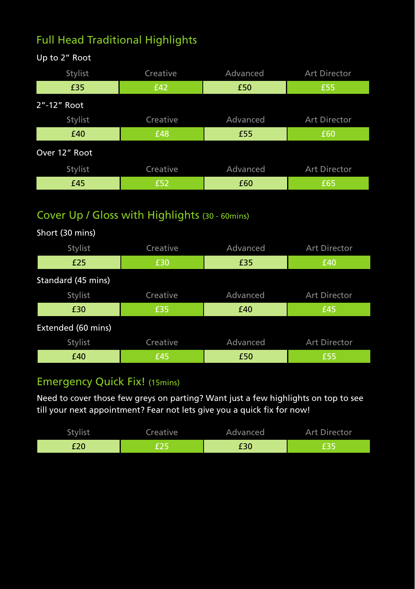# Full Head Traditional Highlights

| Stylist       | Creative | Advanced | Art Director        |
|---------------|----------|----------|---------------------|
| £35           | £42      | £50      | £55                 |
| 2"-12" Root   |          |          |                     |
| Stylist       | Creative | Advanced | Art Director        |
| £40           | £48      | £55      | £60                 |
| Over 12" Root |          |          |                     |
| Stylist       | Creative | Advanced | <b>Art Director</b> |
| £45           | £52      | £60      | £65                 |

# Cover Up / Gloss with Highlights (30 - 60mins)

| Short (30 mins)    |          |          |                     |
|--------------------|----------|----------|---------------------|
| Stylist            | Creative | Advanced | <b>Art Director</b> |
| £25                | £30      | £35      | £40                 |
| Standard (45 mins) |          |          |                     |
| Stylist            | Creative | Advanced | <b>Art Director</b> |
| £30                | £35      | £40      | £45                 |
| Extended (60 mins) |          |          |                     |
| Stylist            | Creative | Advanced | <b>Art Director</b> |
| £40                | £45      | £50      | £55                 |

## Emergency Quick Fix! (15mins)

Need to cover those few greys on parting? Want just a few highlights on top to see till your next appointment? Fear not lets give you a quick fix for now!

| Stylist | Creative | Advanced | <b>Art Director</b> |
|---------|----------|----------|---------------------|
| £20     | CD N     | £30      |                     |

#### Up to 2" Root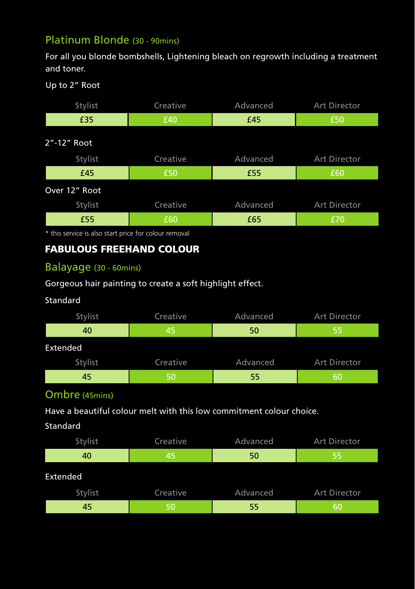## Platinum Blonde (30 - 90mins)

For all you blonde bombshells, Lightening bleach on regrowth including a treatment and toner.

#### Up to 2" Root

| Stylist       | Creative | Advanced | Art Director        |
|---------------|----------|----------|---------------------|
| £35           | £40      | £45      | £50                 |
| 2"-12" Root   |          |          |                     |
| Stylist       | Creative | Advanced | <b>Art Director</b> |
| £45           | £50      | £55      | £60                 |
| Over 12" Root |          |          |                     |
| Stylist       | Creative | Advanced | Art Director        |
| £55           | £60      | £65      | £70                 |

\* this service is also start price for colour removal

#### FABULOUS FREEHAND COLOUR

#### Balayage (30 - 60mins)

#### Gorgeous hair painting to create a soft highlight effect.

#### Standard

| Stylist  | Creative | Advanced | <b>Art Director</b> |
|----------|----------|----------|---------------------|
| 40       | 45       | 50       | 55                  |
| Extended |          |          |                     |
| Stylist  | Creative | Advanced | <b>Art Director</b> |
| 45       | 50       | 55       | 60                  |

#### Ombre (45mins)

Have a beautiful colour melt with this low commitment colour choice.

#### Standard

| Stylist  | Creative | Advanced | <b>Art Director</b> |
|----------|----------|----------|---------------------|
| 40       | 45       | 50       | 55                  |
| Extended |          |          |                     |
| Stylist  | Creative | Advanced | Art Director        |
| 45       | 50       | 55       | 60                  |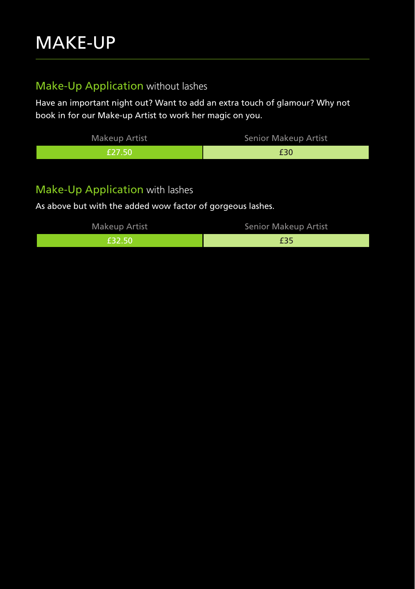# Make-Up Application without lashes

Have an important night out? Want to add an extra touch of glamour? Why not book in for our Make-up Artist to work her magic on you.

| Makeup Artist | Senior Makeup Artist |
|---------------|----------------------|
| 1 F 27 50.    | £30                  |

#### Make-Up Application with lashes

As above but with the added wow factor of gorgeous lashes.

| Makeup Artist | Senior Makeup Artist |
|---------------|----------------------|
| E32.50        | £35                  |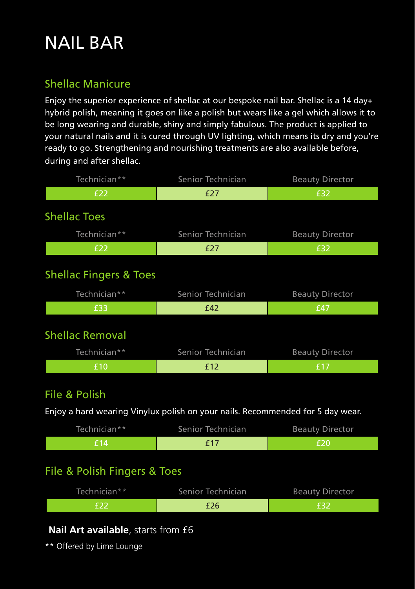# Shellac Manicure

Enjoy the superior experience of shellac at our bespoke nail bar. Shellac is a 14 day+ hybrid polish, meaning it goes on like a polish but wears like a gel which allows it to be long wearing and durable, shiny and simply fabulous. The product is applied to your natural nails and it is cured through UV lighting, which means its dry and you're ready to go. Strengthening and nourishing treatments are also available before, during and after shellac.

| Technician**                                                                   | Senior Technician                  | <b>Beauty Director</b> |
|--------------------------------------------------------------------------------|------------------------------------|------------------------|
| £22                                                                            | £27                                | £32                    |
| <b>Shellac Toes</b>                                                            |                                    |                        |
| Technician**                                                                   | Senior Technician                  | <b>Beauty Director</b> |
| £22                                                                            | £27                                | £32                    |
| <b>Shellac Fingers &amp; Toes</b>                                              |                                    |                        |
| Technician**                                                                   | Senior Technician                  | <b>Beauty Director</b> |
| £33                                                                            | £42                                | £47                    |
| <b>Shellac Removal</b><br>Technician**                                         | Senior Technician                  | <b>Beauty Director</b> |
| £10                                                                            | £12                                | £17                    |
| File & Polish                                                                  |                                    |                        |
| Enjoy a hard wearing Vinylux polish on your nails. Recommended for 5 day wear. |                                    |                        |
| $Tochnichn**$                                                                  | Conjor Tochnician Dequity Director |                        |

| Technician** | Senior Technician | <b>Beauty Director</b> |
|--------------|-------------------|------------------------|
| €14          | f 17              |                        |

## File & Polish Fingers & Toes

| Technician** | Senior Technician | <b>Beauty Director</b> |
|--------------|-------------------|------------------------|
| そつつ          | £26               | F32                    |

## **Nail Art available**, starts from £6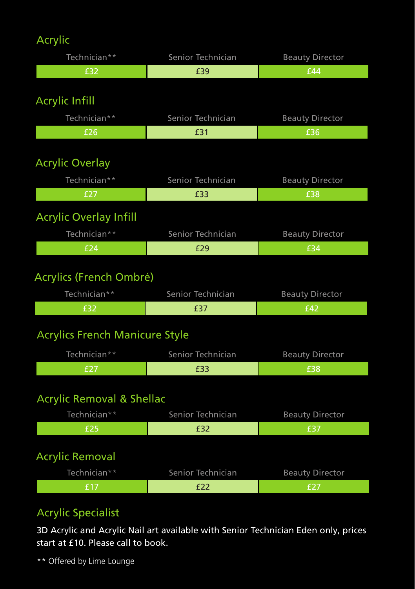# Acrylic

| Technician**                  | Senior Technician | <b>Beauty Director</b> |
|-------------------------------|-------------------|------------------------|
| £32                           | £39               | £44                    |
|                               |                   |                        |
| <b>Acrylic Infill</b>         |                   |                        |
| Technician**                  | Senior Technician | <b>Beauty Director</b> |
| £26                           | £31               | £36                    |
|                               |                   |                        |
| <b>Acrylic Overlay</b>        |                   |                        |
| Technician**                  | Senior Technician | <b>Beauty Director</b> |
| £27                           | £33               | £38                    |
| <b>Acrylic Overlay Infill</b> |                   |                        |
| Technician**                  | Senior Technician | <b>Beauty Director</b> |

# Acrylics (French Ombré)

| Technician** | Senior Technician | <b>Beauty Director</b> |
|--------------|-------------------|------------------------|
| f32          |                   | ' f 42                 |

£24 £29 £34

# Acrylics French Manicure Style

| Technician** | Senior Technician | <b>Beauty Director</b> |
|--------------|-------------------|------------------------|
|              |                   | '£38                   |

# Acrylic Removal & Shellac

| Technician**           | Senior Technician | <b>Beauty Director</b> |
|------------------------|-------------------|------------------------|
| £25                    | £32               | £37                    |
| <b>Acrylic Removal</b> |                   |                        |
| Technician**           | Senior Technician | <b>Beauty Director</b> |
| f 17                   | £22               | f27                    |

# Acrylic Specialist

3D Acrylic and Acrylic Nail art available with Senior Technician Eden only, prices start at £10. Please call to book.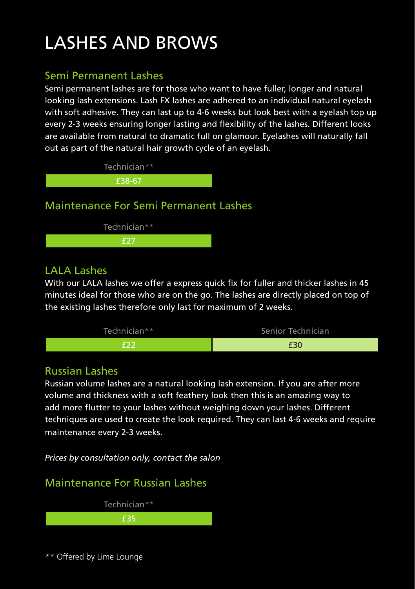# LASHES AND BROWS

#### Semi Permanent Lashes

Semi permanent lashes are for those who want to have fuller, longer and natural looking lash extensions. Lash FX lashes are adhered to an individual natural eyelash with soft adhesive. They can last up to 4-6 weeks but look best with a evelash top up every 2-3 weeks ensuring longer lasting and flexibility of the lashes. Different looks are available from natural to dramatic full on glamour. Eyelashes will naturally fall out as part of the natural hair growth cycle of an eyelash.



### LALA Lashes

With our LALA lashes we offer a express quick fix for fuller and thicker lashes in 45 minutes ideal for those who are on the go. The lashes are directly placed on top of the existing lashes therefore only last for maximum of 2 weeks.



#### Russian Lashes

Russian volume lashes are a natural looking lash extension. If you are after more volume and thickness with a soft feathery look then this is an amazing way to add more flutter to your lashes without weighing down your lashes. Different techniques are used to create the look required. They can last 4-6 weeks and require maintenance every 2-3 weeks.

*Prices by consultation only, contact the salon*

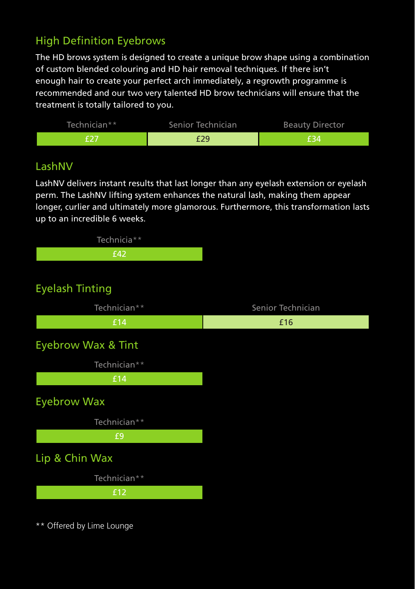# High Definition Eyebrows

The HD brows system is designed to create a unique brow shape using a combination of custom blended colouring and HD hair removal techniques. If there isn't enough hair to create your perfect arch immediately, a regrowth programme is recommended and our two very talented HD brow technicians will ensure that the treatment is totally tailored to you.



#### LashNV

LashNV delivers instant results that last longer than any eyelash extension or eyelash perm. The LashNV lifting system enhances the natural lash, making them appear longer, curlier and ultimately more glamorous. Furthermore, this transformation lasts up to an incredible 6 weeks.

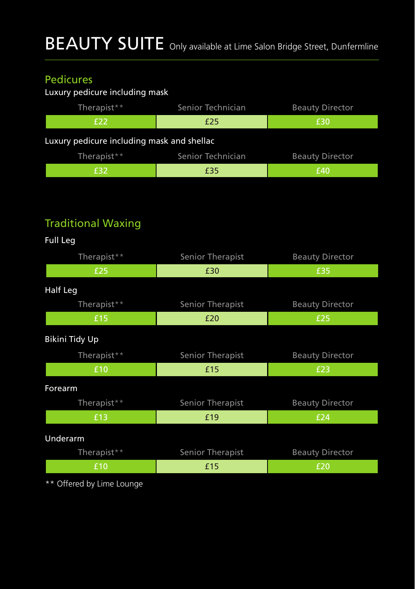# Pedicures

### Luxury pedicure including mask

| Therapist**                                | Senior Technician | <b>Beauty Director</b> |
|--------------------------------------------|-------------------|------------------------|
| E22                                        | £25               | £30                    |
| Luxury pedicure including mask and shellac |                   |                        |
| Therapist**                                | Senior Technician | <b>Beauty Director</b> |
| £32                                        | £35               | £40                    |

# Traditional Waxing

| Full Leg       |                         |                        |
|----------------|-------------------------|------------------------|
| Therapist**    | Senior Therapist        | <b>Beauty Director</b> |
| £25            | £30                     | £35                    |
| Half Leg       |                         |                        |
| Therapist**    | <b>Senior Therapist</b> | <b>Beauty Director</b> |
| £15            | £20                     | £25                    |
| Bikini Tidy Up |                         |                        |
| Therapist**    | Senior Therapist        | <b>Beauty Director</b> |
| £10            | £15                     | £23                    |
| <b>Forearm</b> |                         |                        |
| Therapist**    | Senior Therapist        | <b>Beauty Director</b> |
| £13            | £19                     | £24                    |
| Underarm       |                         |                        |
| Therapist**    | Senior Therapist        | <b>Beauty Director</b> |
| £10            | £15                     | £20                    |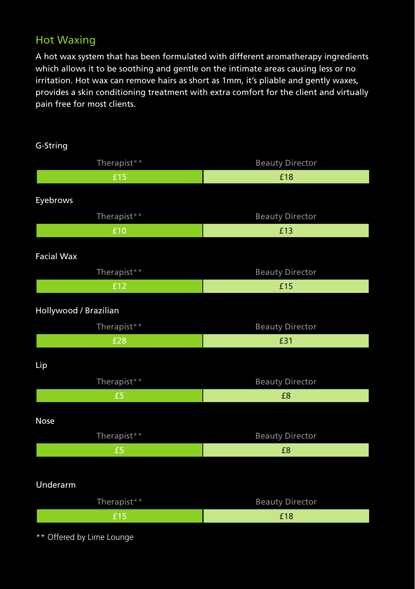## Hot Waxing

A hot wax system that has been formulated with different aromatherapy ingredients which allows it to be soothing and gentle on the intimate areas causing less or no irritation. Hot wax can remove hairs as short as 1mm, it's pliable and gently waxes, provides a skin conditioning treatment with extra comfort for the client and virtually pain free for most clients.

| G-String                         |                        |
|----------------------------------|------------------------|
| Therapist**                      | <b>Beauty Director</b> |
| £15                              | £18                    |
| Eyebrows                         |                        |
| Therapist**                      | <b>Beauty Director</b> |
| £10                              | £13                    |
|                                  |                        |
| <b>Facial Wax</b><br>Therapist** | <b>Beauty Director</b> |
| £12                              | £15                    |
| Hollywood / Brazilian            |                        |
| Therapist**                      | <b>Beauty Director</b> |
| £28                              | £31                    |
| Lip                              |                        |
| Therapist**                      | <b>Beauty Director</b> |
| £5                               | £8                     |
| Nose                             |                        |
| Therapist**                      | <b>Beauty Director</b> |
| £5                               | £8                     |
|                                  |                        |
| Underarm                         |                        |
| Therapist**                      | <b>Beauty Director</b> |
| £15                              | £18                    |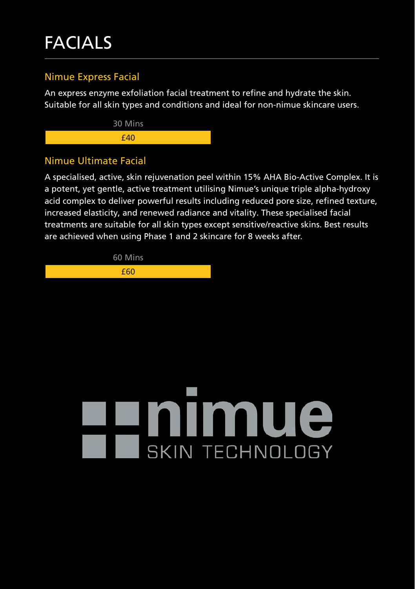# FACIALS

#### Nimue Express Facial

An express enzyme exfoliation facial treatment to refine and hydrate the skin. Suitable for all skin types and conditions and ideal for non-nimue skincare users.



#### Nimue Ultimate Facial

A specialised, active, skin rejuvenation peel within 15% AHA Bio-Active Complex. It is a potent, yet gentle, active treatment utilising Nimue's unique triple alpha-hydroxy acid complex to deliver powerful results including reduced pore size, refined texture, increased elasticity, and renewed radiance and vitality. These specialised facial treatments are suitable for all skin types except sensitive/reactive skins. Best results are achieved when using Phase 1 and 2 skincare for 8 weeks after.

60 Mins

£60

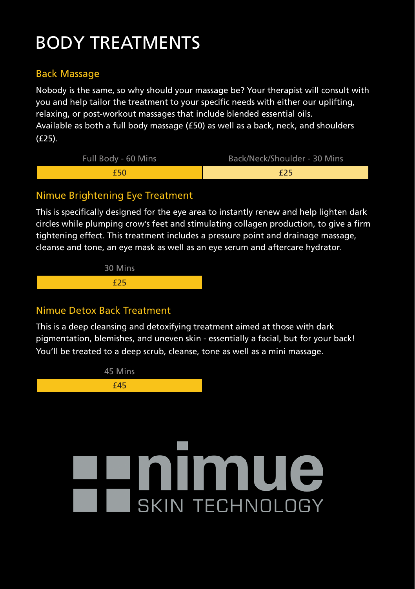# BODY TREATMENTS

#### Back Massage

Nobody is the same, so why should your massage be? Your therapist will consult with you and help tailor the treatment to your specific needs with either our uplifting, relaxing, or post-workout massages that include blended essential oils. Available as both a full body massage (£50) as well as a back, neck, and shoulders (£25).

| Full Body - 60 Mins | Back/Neck/Shoulder - 30 Mins |
|---------------------|------------------------------|
| f50                 | £25                          |

#### Nimue Brightening Eye Treatment

This is specifically designed for the eye area to instantly renew and help lighten dark circles while plumping crow's feet and stimulating collagen production, to give a firm tightening effect. This treatment includes a pressure point and drainage massage, cleanse and tone, an eye mask as well as an eye serum and aftercare hydrator.



#### Nimue Detox Back Treatment

This is a deep cleansing and detoxifying treatment aimed at those with dark pigmentation, blemishes, and uneven skin - essentially a facial, but for your back! You'll be treated to a deep scrub, cleanse, tone as well as a mini massage.